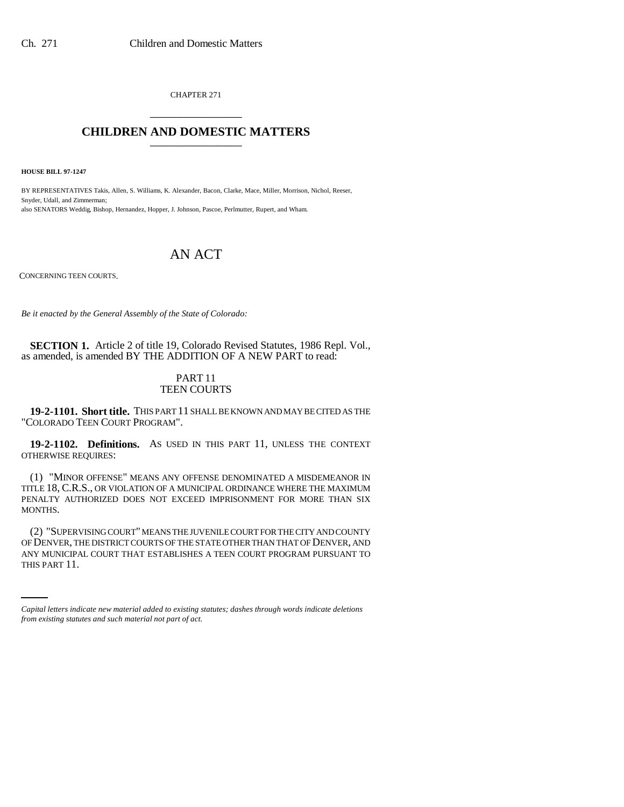CHAPTER 271 \_\_\_\_\_\_\_\_\_\_\_\_\_\_\_

## **CHILDREN AND DOMESTIC MATTERS** \_\_\_\_\_\_\_\_\_\_\_\_\_\_\_

**HOUSE BILL 97-1247**

BY REPRESENTATIVES Takis, Allen, S. Williams, K. Alexander, Bacon, Clarke, Mace, Miller, Morrison, Nichol, Reeser, Snyder, Udall, and Zimmerman; also SENATORS Weddig, Bishop, Hernandez, Hopper, J. Johnson, Pascoe, Perlmutter, Rupert, and Wham.

## AN ACT

CONCERNING TEEN COURTS.

*Be it enacted by the General Assembly of the State of Colorado:*

**SECTION 1.** Article 2 of title 19, Colorado Revised Statutes, 1986 Repl. Vol., as amended, is amended BY THE ADDITION OF A NEW PART to read:

## PART 11 TEEN COURTS

**19-2-1101. Short title.** THIS PART 11 SHALL BE KNOWN AND MAY BE CITED AS THE "COLORADO TEEN COURT PROGRAM".

**19-2-1102. Definitions.** AS USED IN THIS PART 11, UNLESS THE CONTEXT OTHERWISE REQUIRES:

(1) "MINOR OFFENSE" MEANS ANY OFFENSE DENOMINATED A MISDEMEANOR IN TITLE 18, C.R.S., OR VIOLATION OF A MUNICIPAL ORDINANCE WHERE THE MAXIMUM PENALTY AUTHORIZED DOES NOT EXCEED IMPRISONMENT FOR MORE THAN SIX MONTHS.

OF DENVER, THE DISTRICT COURTS OF THE STATE OTHER THAN THAT OF DENVER, AND (2) "SUPERVISING COURT" MEANS THE JUVENILE COURT FOR THE CITY AND COUNTY ANY MUNICIPAL COURT THAT ESTABLISHES A TEEN COURT PROGRAM PURSUANT TO THIS PART 11.

*Capital letters indicate new material added to existing statutes; dashes through words indicate deletions from existing statutes and such material not part of act.*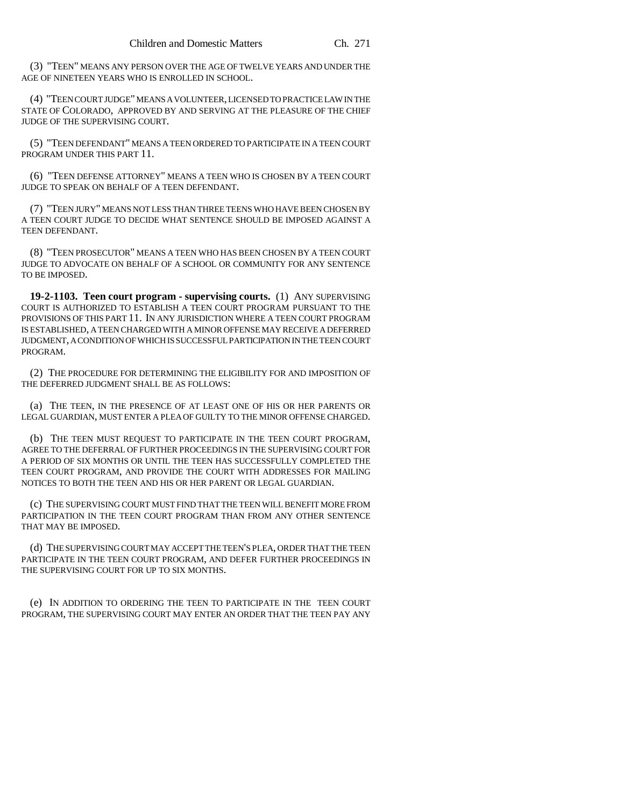(3) "TEEN" MEANS ANY PERSON OVER THE AGE OF TWELVE YEARS AND UNDER THE AGE OF NINETEEN YEARS WHO IS ENROLLED IN SCHOOL.

(4) "TEEN COURT JUDGE" MEANS A VOLUNTEER, LICENSED TO PRACTICE LAW IN THE STATE OF COLORADO, APPROVED BY AND SERVING AT THE PLEASURE OF THE CHIEF JUDGE OF THE SUPERVISING COURT.

(5) "TEEN DEFENDANT" MEANS A TEEN ORDERED TO PARTICIPATE IN A TEEN COURT PROGRAM UNDER THIS PART 11.

(6) "TEEN DEFENSE ATTORNEY" MEANS A TEEN WHO IS CHOSEN BY A TEEN COURT JUDGE TO SPEAK ON BEHALF OF A TEEN DEFENDANT.

(7) "TEEN JURY" MEANS NOT LESS THAN THREE TEENS WHO HAVE BEEN CHOSEN BY A TEEN COURT JUDGE TO DECIDE WHAT SENTENCE SHOULD BE IMPOSED AGAINST A TEEN DEFENDANT.

(8) "TEEN PROSECUTOR" MEANS A TEEN WHO HAS BEEN CHOSEN BY A TEEN COURT JUDGE TO ADVOCATE ON BEHALF OF A SCHOOL OR COMMUNITY FOR ANY SENTENCE TO BE IMPOSED.

**19-2-1103. Teen court program - supervising courts.** (1) ANY SUPERVISING COURT IS AUTHORIZED TO ESTABLISH A TEEN COURT PROGRAM PURSUANT TO THE PROVISIONS OF THIS PART 11. IN ANY JURISDICTION WHERE A TEEN COURT PROGRAM IS ESTABLISHED, A TEEN CHARGED WITH A MINOR OFFENSE MAY RECEIVE A DEFERRED JUDGMENT, A CONDITION OF WHICH IS SUCCESSFUL PARTICIPATION IN THE TEEN COURT PROGRAM.

(2) THE PROCEDURE FOR DETERMINING THE ELIGIBILITY FOR AND IMPOSITION OF THE DEFERRED JUDGMENT SHALL BE AS FOLLOWS:

(a) THE TEEN, IN THE PRESENCE OF AT LEAST ONE OF HIS OR HER PARENTS OR LEGAL GUARDIAN, MUST ENTER A PLEA OF GUILTY TO THE MINOR OFFENSE CHARGED.

(b) THE TEEN MUST REQUEST TO PARTICIPATE IN THE TEEN COURT PROGRAM, AGREE TO THE DEFERRAL OF FURTHER PROCEEDINGS IN THE SUPERVISING COURT FOR A PERIOD OF SIX MONTHS OR UNTIL THE TEEN HAS SUCCESSFULLY COMPLETED THE TEEN COURT PROGRAM, AND PROVIDE THE COURT WITH ADDRESSES FOR MAILING NOTICES TO BOTH THE TEEN AND HIS OR HER PARENT OR LEGAL GUARDIAN.

(c) THE SUPERVISING COURT MUST FIND THAT THE TEEN WILL BENEFIT MORE FROM PARTICIPATION IN THE TEEN COURT PROGRAM THAN FROM ANY OTHER SENTENCE THAT MAY BE IMPOSED.

(d) THE SUPERVISING COURT MAY ACCEPT THE TEEN'S PLEA, ORDER THAT THE TEEN PARTICIPATE IN THE TEEN COURT PROGRAM, AND DEFER FURTHER PROCEEDINGS IN THE SUPERVISING COURT FOR UP TO SIX MONTHS.

(e) IN ADDITION TO ORDERING THE TEEN TO PARTICIPATE IN THE TEEN COURT PROGRAM, THE SUPERVISING COURT MAY ENTER AN ORDER THAT THE TEEN PAY ANY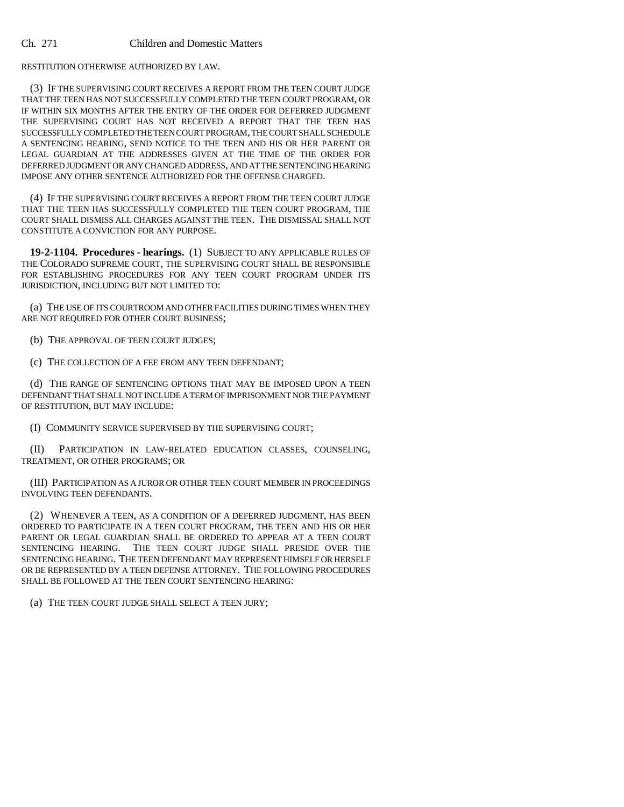RESTITUTION OTHERWISE AUTHORIZED BY LAW.

(3) IF THE SUPERVISING COURT RECEIVES A REPORT FROM THE TEEN COURT JUDGE THAT THE TEEN HAS NOT SUCCESSFULLY COMPLETED THE TEEN COURT PROGRAM, OR IF WITHIN SIX MONTHS AFTER THE ENTRY OF THE ORDER FOR DEFERRED JUDGMENT THE SUPERVISING COURT HAS NOT RECEIVED A REPORT THAT THE TEEN HAS SUCCESSFULLY COMPLETED THE TEEN COURT PROGRAM, THE COURT SHALL SCHEDULE A SENTENCING HEARING, SEND NOTICE TO THE TEEN AND HIS OR HER PARENT OR LEGAL GUARDIAN AT THE ADDRESSES GIVEN AT THE TIME OF THE ORDER FOR DEFERRED JUDGMENT OR ANY CHANGED ADDRESS, AND AT THE SENTENCING HEARING IMPOSE ANY OTHER SENTENCE AUTHORIZED FOR THE OFFENSE CHARGED.

(4) IF THE SUPERVISING COURT RECEIVES A REPORT FROM THE TEEN COURT JUDGE THAT THE TEEN HAS SUCCESSFULLY COMPLETED THE TEEN COURT PROGRAM, THE COURT SHALL DISMISS ALL CHARGES AGAINST THE TEEN. THE DISMISSAL SHALL NOT CONSTITUTE A CONVICTION FOR ANY PURPOSE.

**19-2-1104. Procedures - hearings.** (1) SUBJECT TO ANY APPLICABLE RULES OF THE COLORADO SUPREME COURT, THE SUPERVISING COURT SHALL BE RESPONSIBLE FOR ESTABLISHING PROCEDURES FOR ANY TEEN COURT PROGRAM UNDER ITS JURISDICTION, INCLUDING BUT NOT LIMITED TO:

(a) THE USE OF ITS COURTROOM AND OTHER FACILITIES DURING TIMES WHEN THEY ARE NOT REQUIRED FOR OTHER COURT BUSINESS;

(b) THE APPROVAL OF TEEN COURT JUDGES;

(c) THE COLLECTION OF A FEE FROM ANY TEEN DEFENDANT;

(d) THE RANGE OF SENTENCING OPTIONS THAT MAY BE IMPOSED UPON A TEEN DEFENDANT THAT SHALL NOT INCLUDE A TERM OF IMPRISONMENT NOR THE PAYMENT OF RESTITUTION, BUT MAY INCLUDE:

(I) COMMUNITY SERVICE SUPERVISED BY THE SUPERVISING COURT;

(II) PARTICIPATION IN LAW-RELATED EDUCATION CLASSES, COUNSELING, TREATMENT, OR OTHER PROGRAMS; OR

(III) PARTICIPATION AS A JUROR OR OTHER TEEN COURT MEMBER IN PROCEEDINGS INVOLVING TEEN DEFENDANTS.

(2) WHENEVER A TEEN, AS A CONDITION OF A DEFERRED JUDGMENT, HAS BEEN ORDERED TO PARTICIPATE IN A TEEN COURT PROGRAM, THE TEEN AND HIS OR HER PARENT OR LEGAL GUARDIAN SHALL BE ORDERED TO APPEAR AT A TEEN COURT SENTENCING HEARING. THE TEEN COURT JUDGE SHALL PRESIDE OVER THE SENTENCING HEARING. THE TEEN DEFENDANT MAY REPRESENT HIMSELF OR HERSELF OR BE REPRESENTED BY A TEEN DEFENSE ATTORNEY. THE FOLLOWING PROCEDURES SHALL BE FOLLOWED AT THE TEEN COURT SENTENCING HEARING:

(a) THE TEEN COURT JUDGE SHALL SELECT A TEEN JURY;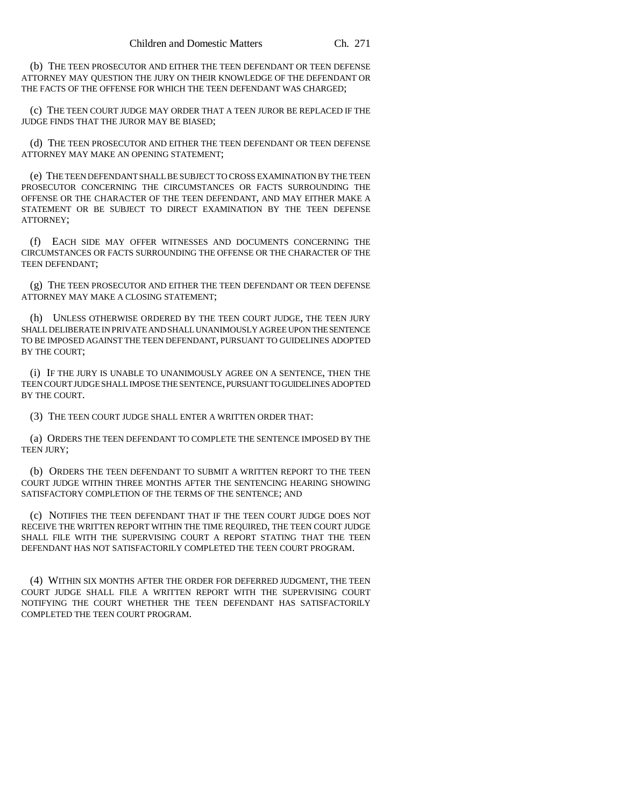(b) THE TEEN PROSECUTOR AND EITHER THE TEEN DEFENDANT OR TEEN DEFENSE ATTORNEY MAY QUESTION THE JURY ON THEIR KNOWLEDGE OF THE DEFENDANT OR THE FACTS OF THE OFFENSE FOR WHICH THE TEEN DEFENDANT WAS CHARGED;

(c) THE TEEN COURT JUDGE MAY ORDER THAT A TEEN JUROR BE REPLACED IF THE JUDGE FINDS THAT THE JUROR MAY BE BIASED;

(d) THE TEEN PROSECUTOR AND EITHER THE TEEN DEFENDANT OR TEEN DEFENSE ATTORNEY MAY MAKE AN OPENING STATEMENT;

(e) THE TEEN DEFENDANT SHALL BE SUBJECT TO CROSS EXAMINATION BY THE TEEN PROSECUTOR CONCERNING THE CIRCUMSTANCES OR FACTS SURROUNDING THE OFFENSE OR THE CHARACTER OF THE TEEN DEFENDANT, AND MAY EITHER MAKE A STATEMENT OR BE SUBJECT TO DIRECT EXAMINATION BY THE TEEN DEFENSE ATTORNEY;

(f) EACH SIDE MAY OFFER WITNESSES AND DOCUMENTS CONCERNING THE CIRCUMSTANCES OR FACTS SURROUNDING THE OFFENSE OR THE CHARACTER OF THE TEEN DEFENDANT;

(g) THE TEEN PROSECUTOR AND EITHER THE TEEN DEFENDANT OR TEEN DEFENSE ATTORNEY MAY MAKE A CLOSING STATEMENT;

(h) UNLESS OTHERWISE ORDERED BY THE TEEN COURT JUDGE, THE TEEN JURY SHALL DELIBERATE IN PRIVATE AND SHALL UNANIMOUSLY AGREE UPON THE SENTENCE TO BE IMPOSED AGAINST THE TEEN DEFENDANT, PURSUANT TO GUIDELINES ADOPTED BY THE COURT;

(i) IF THE JURY IS UNABLE TO UNANIMOUSLY AGREE ON A SENTENCE, THEN THE TEEN COURT JUDGE SHALL IMPOSE THE SENTENCE, PURSUANT TO GUIDELINES ADOPTED BY THE COURT.

(3) THE TEEN COURT JUDGE SHALL ENTER A WRITTEN ORDER THAT:

(a) ORDERS THE TEEN DEFENDANT TO COMPLETE THE SENTENCE IMPOSED BY THE TEEN JURY;

(b) ORDERS THE TEEN DEFENDANT TO SUBMIT A WRITTEN REPORT TO THE TEEN COURT JUDGE WITHIN THREE MONTHS AFTER THE SENTENCING HEARING SHOWING SATISFACTORY COMPLETION OF THE TERMS OF THE SENTENCE; AND

(c) NOTIFIES THE TEEN DEFENDANT THAT IF THE TEEN COURT JUDGE DOES NOT RECEIVE THE WRITTEN REPORT WITHIN THE TIME REQUIRED, THE TEEN COURT JUDGE SHALL FILE WITH THE SUPERVISING COURT A REPORT STATING THAT THE TEEN DEFENDANT HAS NOT SATISFACTORILY COMPLETED THE TEEN COURT PROGRAM.

(4) WITHIN SIX MONTHS AFTER THE ORDER FOR DEFERRED JUDGMENT, THE TEEN COURT JUDGE SHALL FILE A WRITTEN REPORT WITH THE SUPERVISING COURT NOTIFYING THE COURT WHETHER THE TEEN DEFENDANT HAS SATISFACTORILY COMPLETED THE TEEN COURT PROGRAM.